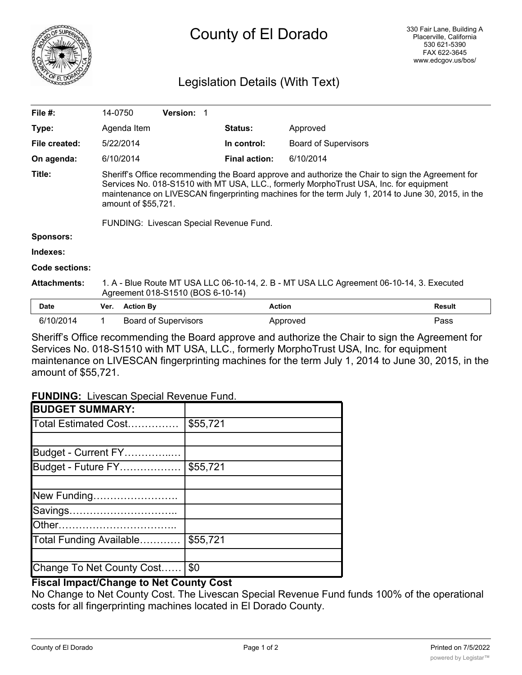

# Legislation Details (With Text)

| File $#$ :            | 14-0750                                                                                                                                                                                                                                                                                                                                                             |                  | <b>Version:</b>             |                      |                             |               |
|-----------------------|---------------------------------------------------------------------------------------------------------------------------------------------------------------------------------------------------------------------------------------------------------------------------------------------------------------------------------------------------------------------|------------------|-----------------------------|----------------------|-----------------------------|---------------|
| Type:                 |                                                                                                                                                                                                                                                                                                                                                                     | Agenda Item      |                             | <b>Status:</b>       | Approved                    |               |
| File created:         |                                                                                                                                                                                                                                                                                                                                                                     | 5/22/2014        |                             | In control:          | <b>Board of Supervisors</b> |               |
| On agenda:            |                                                                                                                                                                                                                                                                                                                                                                     | 6/10/2014        |                             | <b>Final action:</b> | 6/10/2014                   |               |
| Title:                | Sheriff's Office recommending the Board approve and authorize the Chair to sign the Agreement for<br>Services No. 018-S1510 with MT USA, LLC., formerly MorphoTrust USA, Inc. for equipment<br>maintenance on LIVESCAN fingerprinting machines for the term July 1, 2014 to June 30, 2015, in the<br>amount of \$55,721.<br>FUNDING: Livescan Special Revenue Fund. |                  |                             |                      |                             |               |
| <b>Sponsors:</b>      |                                                                                                                                                                                                                                                                                                                                                                     |                  |                             |                      |                             |               |
| Indexes:              |                                                                                                                                                                                                                                                                                                                                                                     |                  |                             |                      |                             |               |
| <b>Code sections:</b> |                                                                                                                                                                                                                                                                                                                                                                     |                  |                             |                      |                             |               |
| <b>Attachments:</b>   | 1. A - Blue Route MT USA LLC 06-10-14, 2. B - MT USA LLC Agreement 06-10-14, 3. Executed<br>Agreement 018-S1510 (BOS 6-10-14)                                                                                                                                                                                                                                       |                  |                             |                      |                             |               |
| <b>Date</b>           | Ver.                                                                                                                                                                                                                                                                                                                                                                | <b>Action By</b> |                             | <b>Action</b>        |                             | <b>Result</b> |
| 6/10/2014             |                                                                                                                                                                                                                                                                                                                                                                     |                  | <b>Board of Supervisors</b> |                      | Approved                    | Pass          |

Sheriff's Office recommending the Board approve and authorize the Chair to sign the Agreement for Services No. 018-S1510 with MT USA, LLC., formerly MorphoTrust USA, Inc. for equipment maintenance on LIVESCAN fingerprinting machines for the term July 1, 2014 to June 30, 2015, in the amount of \$55,721.

**FUNDING:** Livescan Special Revenue Fund.

| <b>BUDGET SUMMARY:</b>    |          |
|---------------------------|----------|
| Total Estimated Cost      | \$55,721 |
|                           |          |
| Budget - Current FY       |          |
| Budget - Future FY        | \$55,721 |
|                           |          |
| New Funding               |          |
| Savings                   |          |
|                           |          |
| Total Funding Available   | \$55,721 |
|                           |          |
| Change To Net County Cost | \$0      |

## **Fiscal Impact/Change to Net County Cost**

No Change to Net County Cost. The Livescan Special Revenue Fund funds 100% of the operational costs for all fingerprinting machines located in El Dorado County.